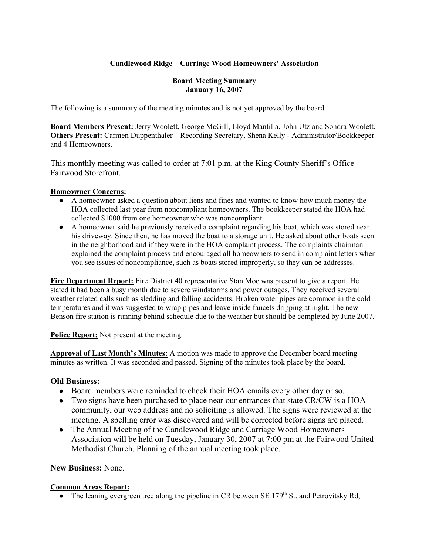## **Candlewood Ridge – Carriage Wood Homeowners' Association**

#### **Board Meeting Summary January 16, 2007**

The following is a summary of the meeting minutes and is not yet approved by the board.

**Board Members Present:** Jerry Woolett, George McGill, Lloyd Mantilla, John Utz and Sondra Woolett. **Others Present:** Carmen Duppenthaler – Recording Secretary, Shena Kelly - Administrator/Bookkeeper and 4 Homeowners.

This monthly meeting was called to order at 7:01 p.m. at the King County Sheriff's Office – Fairwood Storefront.

#### **Homeowner Concerns:**

- A homeowner asked a question about liens and fines and wanted to know how much money the HOA collected last year from noncompliant homeowners. The bookkeeper stated the HOA had collected \$1000 from one homeowner who was noncompliant.
- A homeowner said he previously received a complaint regarding his boat, which was stored near his driveway. Since then, he has moved the boat to a storage unit. He asked about other boats seen in the neighborhood and if they were in the HOA complaint process. The complaints chairman explained the complaint process and encouraged all homeowners to send in complaint letters when you see issues of noncompliance, such as boats stored improperly, so they can be addresses.

**Fire Department Report:** Fire District 40 representative Stan Moe was present to give a report. He stated it had been a busy month due to severe windstorms and power outages. They received several weather related calls such as sledding and falling accidents. Broken water pipes are common in the cold temperatures and it was suggested to wrap pipes and leave inside faucets dripping at night. The new Benson fire station is running behind schedule due to the weather but should be completed by June 2007.

**Police Report:** Not present at the meeting.

**Approval of Last Month's Minutes:** A motion was made to approve the December board meeting minutes as written. It was seconded and passed. Signing of the minutes took place by the board.

## **Old Business:**

- Board members were reminded to check their HOA emails every other day or so.
- Two signs have been purchased to place near our entrances that state CR/CW is a HOA community, our web address and no soliciting is allowed. The signs were reviewed at the meeting. A spelling error was discovered and will be corrected before signs are placed.
- The Annual Meeting of the Candlewood Ridge and Carriage Wood Homeowners Association will be held on Tuesday, January 30, 2007 at 7:00 pm at the Fairwood United Methodist Church. Planning of the annual meeting took place.

#### **New Business:** None.

#### **Common Areas Report:**

• The leaning evergreen tree along the pipeline in CR between SE  $179<sup>th</sup>$  St. and Petrovitsky Rd,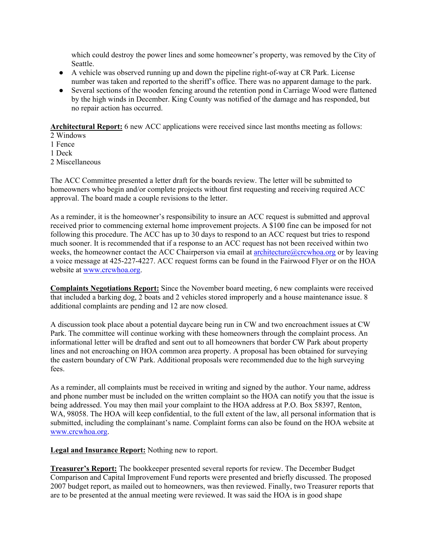which could destroy the power lines and some homeowner's property, was removed by the City of Seattle.

- A vehicle was observed running up and down the pipeline right-of-way at CR Park. License number was taken and reported to the sheriff's office. There was no apparent damage to the park.
- Several sections of the wooden fencing around the retention pond in Carriage Wood were flattened by the high winds in December. King County was notified of the damage and has responded, but no repair action has occurred.

**Architectural Report:** 6 new ACC applications were received since last months meeting as follows:

- 2 Windows
- 1 Fence
- 1 Deck
- 2 Miscellaneous

The ACC Committee presented a letter draft for the boards review. The letter will be submitted to homeowners who begin and/or complete projects without first requesting and receiving required ACC approval. The board made a couple revisions to the letter.

As a reminder, it is the homeowner's responsibility to insure an ACC request is submitted and approval received prior to commencing external home improvement projects. A \$100 fine can be imposed for not following this procedure. The ACC has up to 30 days to respond to an ACC request but tries to respond much sooner. It is recommended that if a response to an ACC request has not been received within two weeks, the homeowner contact the ACC Chairperson via email at architecture@crcwhoa.org or by leaving a voice message at 425-227-4227. ACC request forms can be found in the Fairwood Flyer or on the HOA website at www.crcwhoa.org.

**Complaints Negotiations Report:** Since the November board meeting, 6 new complaints were received that included a barking dog, 2 boats and 2 vehicles stored improperly and a house maintenance issue. 8 additional complaints are pending and 12 are now closed.

A discussion took place about a potential daycare being run in CW and two encroachment issues at CW Park. The committee will continue working with these homeowners through the complaint process. An informational letter will be drafted and sent out to all homeowners that border CW Park about property lines and not encroaching on HOA common area property. A proposal has been obtained for surveying the eastern boundary of CW Park. Additional proposals were recommended due to the high surveying fees.

As a reminder, all complaints must be received in writing and signed by the author. Your name, address and phone number must be included on the written complaint so the HOA can notify you that the issue is being addressed. You may then mail your complaint to the HOA address at P.O. Box 58397, Renton, WA, 98058. The HOA will keep confidential, to the full extent of the law, all personal information that is submitted, including the complainant's name. Complaint forms can also be found on the HOA website at www.crcwhoa.org.

**Legal and Insurance Report:** Nothing new to report.

**Treasurer's Report:** The bookkeeper presented several reports for review. The December Budget Comparison and Capital Improvement Fund reports were presented and briefly discussed. The proposed 2007 budget report, as mailed out to homeowners, was then reviewed. Finally, two Treasurer reports that are to be presented at the annual meeting were reviewed. It was said the HOA is in good shape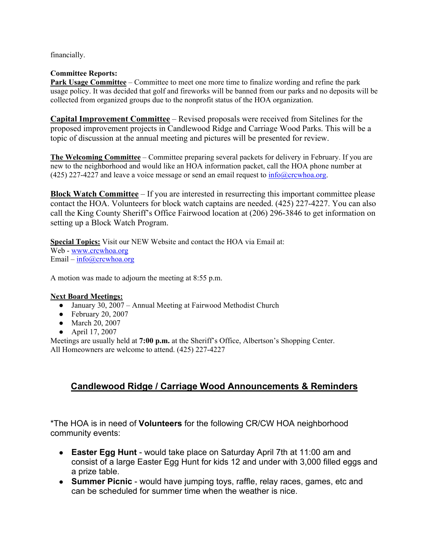financially.

## **Committee Reports:**

**Park Usage Committee** – Committee to meet one more time to finalize wording and refine the park usage policy. It was decided that golf and fireworks will be banned from our parks and no deposits will be collected from organized groups due to the nonprofit status of the HOA organization.

**Capital Improvement Committee** – Revised proposals were received from Sitelines for the proposed improvement projects in Candlewood Ridge and Carriage Wood Parks. This will be a topic of discussion at the annual meeting and pictures will be presented for review.

**The Welcoming Committee** – Committee preparing several packets for delivery in February. If you are new to the neighborhood and would like an HOA information packet, call the HOA phone number at (425) 227-4227 and leave a voice message or send an email request to  $info@crewhoa.org$ .

**Block Watch Committee** – If you are interested in resurrecting this important committee please contact the HOA. Volunteers for block watch captains are needed. (425) 227-4227. You can also call the King County Sheriff's Office Fairwood location at (206) 296-3846 to get information on setting up a Block Watch Program.

**Special Topics:** Visit our NEW Website and contact the HOA via Email at: Web - www.crcwhoa.org Email –  $info@crcwhoa.org$ 

A motion was made to adjourn the meeting at 8:55 p.m.

## **Next Board Meetings:**

- January 30, 2007 Annual Meeting at Fairwood Methodist Church
- $\bullet$  February 20, 2007
- March 20, 2007
- April 17, 2007

Meetings are usually held at **7:00 p.m.** at the Sheriff's Office, Albertson's Shopping Center. All Homeowners are welcome to attend. (425) 227-4227

# **Candlewood Ridge / Carriage Wood Announcements & Reminders**

\*The HOA is in need of **Volunteers** for the following CR/CW HOA neighborhood community events:

- **Easter Egg Hunt** would take place on Saturday April 7th at 11:00 am and consist of a large Easter Egg Hunt for kids 12 and under with 3,000 filled eggs and a prize table.
- **Summer Picnic** would have jumping toys, raffle, relay races, games, etc and can be scheduled for summer time when the weather is nice.